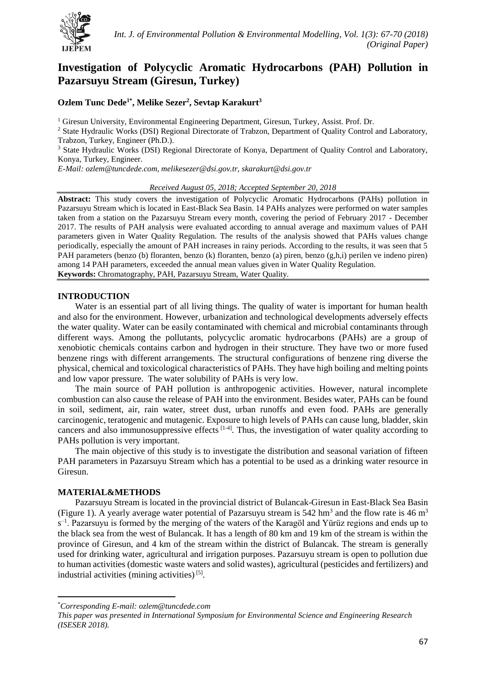

# **Investigation of Polycyclic Aromatic Hydrocarbons (PAH) Pollution in Pazarsuyu Stream (Giresun, Turkey)**

## **Ozlem Tunc Dede1\* , Melike Sezer<sup>2</sup> , Sevtap Karakurt<sup>3</sup>**

 $1$  Giresun University, Environmental Engineering Department, Giresun, Turkey, Assist. Prof. Dr.

<sup>2</sup> State Hydraulic Works (DSI) Regional Directorate of Trabzon, Department of Quality Control and Laboratory, Trabzon, Turkey, Engineer (Ph.D.).

<sup>3</sup> State Hydraulic Works (DSI) Regional Directorate of Konya, Department of Quality Control and Laboratory, Konya, Turkey, Engineer.

*E-Mail: ozlem@tuncdede.com, melikesezer@dsi.gov.tr, [skarakurt@dsi.gov.tr](mailto:skarakurt@dsi.gov.tr)*

#### *Received August 05, 2018; Accepted September 20, 2018*

**Abstract:** This study covers the investigation of Polycyclic Aromatic Hydrocarbons (PAHs) pollution in Pazarsuyu Stream which is located in East-Black Sea Basin. 14 PAHs analyzes were performed on water samples taken from a station on the Pazarsuyu Stream every month, covering the period of February 2017 - December 2017. The results of PAH analysis were evaluated according to annual average and maximum values of PAH parameters given in Water Quality Regulation. The results of the analysis showed that PAHs values change periodically, especially the amount of PAH increases in rainy periods. According to the results, it was seen that 5 PAH parameters (benzo (b) floranten, benzo (k) floranten, benzo (a) piren, benzo (g,h,i) perilen ve indeno piren) among 14 PAH parameters, exceeded the annual mean values given in Water Quality Regulation. **Keywords:** Chromatography, PAH, Pazarsuyu Stream, Water Quality.

#### **INTRODUCTION**

Water is an essential part of all living things. The quality of water is important for human health and also for the environment. However, urbanization and technological developments adversely effects the water quality. Water can be easily contaminated with chemical and microbial contaminants through different ways. Among the pollutants, polycyclic aromatic hydrocarbons (PAHs) are a group of xenobiotic chemicals contains carbon and hydrogen in their structure. They have two or more fused benzene rings with different arrangements. The structural configurations of benzene ring diverse the physical, chemical and toxicological characteristics of PAHs. They have high boiling and melting points and low vapor pressure. The water solubility of PAHs is very low.

The main source of PAH pollution is anthropogenic activities. However, natural incomplete combustion can also cause the release of PAH into the environment. Besides water, PAHs can be found in soil, sediment, air, rain water, street dust, urban runoffs and even food. PAHs are generally carcinogenic, teratogenic and mutagenic. Exposure to high levels of PAHs can cause lung, bladder, skin cancers and also immunosuppressive effects  $[1-4]$ . Thus, the investigation of water quality according to PAHs pollution is very important.

The main objective of this study is to investigate the distribution and seasonal variation of fifteen PAH parameters in Pazarsuyu Stream which has a potential to be used as a drinking water resource in Giresun.

## **MATERIAL&METHODS**

**.** 

Pazarsuyu Stream is located in the provincial district of Bulancak-Giresun in East-Black Sea Basin (Figure 1). A yearly average water potential of Pazarsuyu stream is  $542 \text{ hm}^3$  and the flow rate is  $46 \text{ m}^3$ s<sup>-1</sup>. Pazarsuyu is formed by the merging of the waters of the Karagöl and Yürüz regions and ends up to the black sea from the west of Bulancak. It has a length of 80 km and 19 km of the stream is within the province of Giresun, and 4 km of the stream within the district of Bulancak. The stream is generally used for drinking water, agricultural and irrigation purposes. Pazarsuyu stream is open to pollution due to human activities (domestic waste waters and solid wastes), agricultural (pesticides and fertilizers) and industrial activities (mining activities)<sup>[5]</sup>.

<sup>\*</sup>*Corresponding E-mail: ozlem@tuncdede.com*

*This paper was presented in International Symposium for Environmental Science and Engineering Research (ISESER 2018).*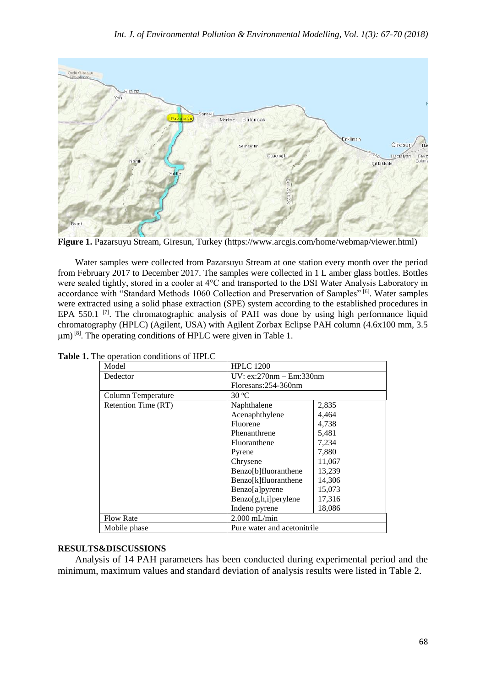

**Figure 1.** Pazarsuyu Stream, Giresun, Turkey (https://www.arcgis.com/home/webmap/viewer.html)

Water samples were collected from Pazarsuyu Stream at one station every month over the period from February 2017 to December 2017. The samples were collected in 1 L amber glass bottles. Bottles were sealed tightly, stored in a cooler at 4°C and transported to the DSI Water Analysis Laboratory in accordance with "Standard Methods 1060 Collection and Preservation of Samples" [6]. Water samples were extracted using a solid phase extraction (SPE) system according to the established procedures in EPA 550.1  $[7]$ . The chromatographic analysis of PAH was done by using high performance liquid chromatography (HPLC) (Agilent, USA) with Agilent Zorbax Eclipse PAH column (4.6x100 mm, 3.5  $\mu$ m) <sup>[8]</sup>. The operating conditions of HPLC were given in Table 1.

| Model               | <b>HPLC 1200</b>                                 |        |  |
|---------------------|--------------------------------------------------|--------|--|
| Dedector            | $UV: ex:270nm - Em:330nm$<br>Floresans:254-360nm |        |  |
|                     |                                                  |        |  |
| Column Temperature  | $30^{\circ}$ C                                   |        |  |
| Retention Time (RT) | Naphthalene                                      | 2,835  |  |
|                     | Acenaphthylene                                   | 4,464  |  |
|                     | Fluorene                                         | 4,738  |  |
|                     | Phenanthrene                                     | 5,481  |  |
|                     | Fluoranthene                                     | 7,234  |  |
|                     | Pyrene                                           | 7,880  |  |
|                     | Chrysene                                         | 11,067 |  |
|                     | Benzo[b]fluoranthene                             | 13,239 |  |
|                     | Benzo[k]fluoranthene                             | 14,306 |  |
|                     | Benzo[a]pyrene                                   | 15,073 |  |
|                     | $Benzo[g,h,i]$ per ylene                         | 17,316 |  |
|                     | Indeno pyrene                                    | 18,086 |  |
| <b>Flow Rate</b>    | $2.000$ mL/min                                   |        |  |
| Mobile phase        | Pure water and acetonitrile                      |        |  |

**Table 1.** The operation conditions of HPLC

# **RESULTS&DISCUSSIONS**

Analysis of 14 PAH parameters has been conducted during experimental period and the minimum, maximum values and standard deviation of analysis results were listed in Table 2.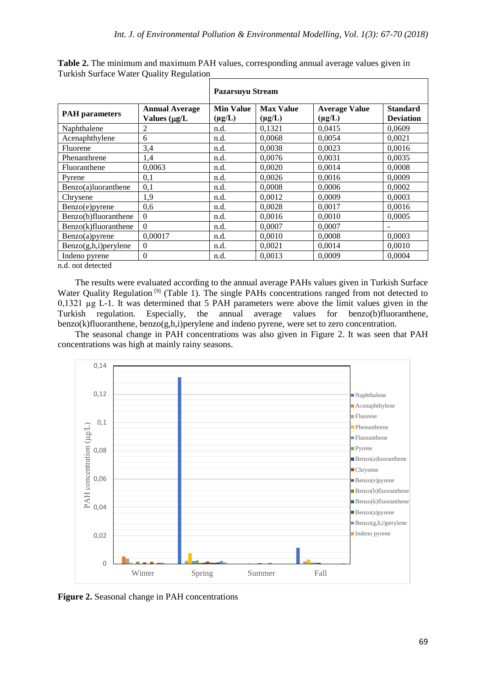|                       |                                             | <b>Pazarsuyu Stream</b>         |                                 |                                     |                                     |  |
|-----------------------|---------------------------------------------|---------------------------------|---------------------------------|-------------------------------------|-------------------------------------|--|
| <b>PAH</b> parameters | <b>Annual Average</b><br>Values $(\mu g/L)$ | <b>Min Value</b><br>$(\mu g/L)$ | <b>Max Value</b><br>$(\mu g/L)$ | <b>Average Value</b><br>$(\mu g/L)$ | <b>Standard</b><br><b>Deviation</b> |  |
| Naphthalene           | 2                                           | n.d.                            | 0,1321                          | 0,0415                              | 0,0609                              |  |
| Acenaphthylene        | 6                                           | n.d.                            | 0,0068                          | 0,0054                              | 0,0021                              |  |
| Fluorene              | 3,4                                         | n.d.                            | 0,0038                          | 0,0023                              | 0,0016                              |  |
| Phenanthrene          | 1,4                                         | n.d.                            | 0.0076                          | 0.0031                              | 0,0035                              |  |
| Fluoranthene          | 0,0063                                      | n.d.                            | 0.0020                          | 0.0014                              | 0,0008                              |  |
| Pyrene                | 0,1                                         | n.d.                            | 0,0026                          | 0,0016                              | 0,0009                              |  |
| Benzo(a)luoranthene   | 0,1                                         | n.d.                            | 0,0008                          | 0,0006                              | 0,0002                              |  |
| Chrysene              | 1,9                                         | n.d.                            | 0,0012                          | 0,0009                              | 0,0003                              |  |
| Benzo(e)pyrene        | 0,6                                         | n.d.                            | 0,0028                          | 0,0017                              | 0,0016                              |  |
| Benzo(b)fluoranthene  | $\mathbf{0}$                                | n.d.                            | 0,0016                          | 0,0010                              | 0,0005                              |  |
| Benzo(k)fluoranthene  | $\Omega$                                    | n.d.                            | 0,0007                          | 0,0007                              |                                     |  |
| Benzo(a)pyrene        | 0,00017                                     | n.d.                            | 0,0010                          | 0,0008                              | 0,0003                              |  |
| Benzo(g,h,i)perylene  | $\mathbf{0}$                                | n.d.                            | 0,0021                          | 0,0014                              | 0,0010                              |  |
| Indeno pyrene         | $\theta$                                    | n.d.                            | 0,0013                          | 0,0009                              | 0,0004                              |  |

**Table 2.** The minimum and maximum PAH values, corresponding annual average values given in Turkish Surface Water Quality Regulation

n.d. not detected

The results were evaluated according to the annual average PAHs values given in Turkish Surface Water Quality Regulation<sup>[9]</sup> (Table 1). The single PAHs concentrations ranged from not detected to 0,1321 µg L-1. It was determined that 5 PAH parameters were above the limit values given in the Turkish regulation. Especially, the annual average values for benzo(b)fluoranthene, benzo(k)fluoranthene, benzo(g,h,i)perylene and indeno pyrene, were set to zero concentration.

The seasonal change in PAH concentrations was also given in Figure 2. It was seen that PAH concentrations was high at mainly rainy seasons.



**Figure 2.** Seasonal change in PAH concentrations